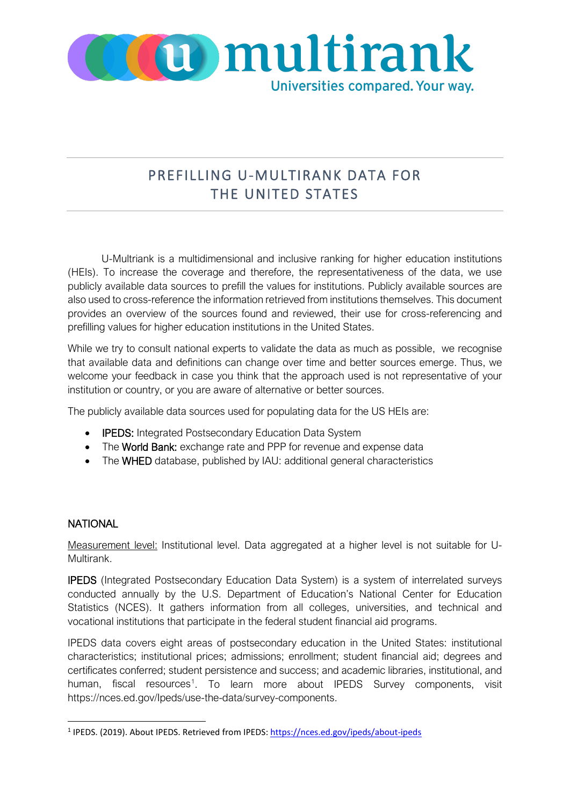

## PREFILLING U-MULTIRANK DATA FOR THE UNITED STATES

U-Multriank is a multidimensional and inclusive ranking for higher education institutions (HEIs). To increase the coverage and therefore, the representativeness of the data, we use publicly available data sources to prefill the values for institutions. Publicly available sources are also used to cross-reference the information retrieved from institutions themselves. This document provides an overview of the sources found and reviewed, their use for cross-referencing and prefilling values for higher education institutions in the United States.

While we try to consult national experts to validate the data as much as possible, we recognise that available data and definitions can change over time and better sources emerge. Thus, we welcome your feedback in case you think that the approach used is not representative of your institution or country, or you are aware of alternative or better sources.

The publicly available data sources used for populating data for the US HEIs are:

- IPEDS: Integrated Postsecondary Education Data System
- The World Bank: exchange rate and PPP for revenue and expense data
- The WHED database, published by IAU: additional general characteristics

## **NATIONAL**

Measurement level: Institutional level. Data aggregated at a higher level is not suitable for U-Multirank.

IPEDS (Integrated Postsecondary Education Data System) is a system of interrelated surveys conducted annually by the U.S. Department of Education's National Center for Education Statistics (NCES). It gathers information from all colleges, universities, and technical and vocational institutions that participate in the federal student financial aid programs.

IPEDS data covers eight areas of postsecondary education in the United States: institutional characteristics; institutional prices; admissions; enrollment; student financial aid; degrees and certificates conferred; student persistence and success; and academic libraries, institutional, and human, fiscal resources<sup>[1](#page-0-0)</sup>. To learn more about IPEDS Survey components, visit https://nces.ed.gov/Ipeds/use-the-data/survey-components.

<span id="page-0-0"></span><sup>&</sup>lt;sup>1</sup> IPEDS. (2019). About IPEDS. Retrieved from IPEDS[: https://nces.ed.gov/ipeds/about-ipeds](https://nces.ed.gov/ipeds/about-ipeds)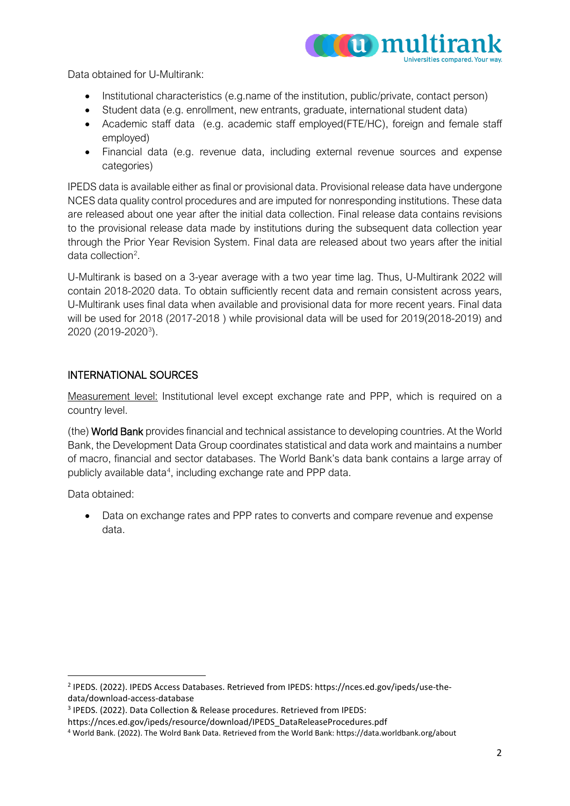

Data obtained for U-Multirank:

- Institutional characteristics (e.g.name of the institution, public/private, contact person)
- Student data (e.g. enrollment, new entrants, graduate, international student data)
- Academic staff data (e.g. academic staff employed(FTE/HC), foreign and female staff employed)
- Financial data (e.g. revenue data, including external revenue sources and expense categories)

IPEDS data is available either as final or provisional data. Provisional release data have undergone NCES data quality control procedures and are imputed for nonresponding institutions. These data are released about one year after the initial data collection. Final release data contains revisions to the provisional release data made by institutions during the subsequent data collection year through the Prior Year Revision System. Final data are released about two years after the initial data collection<sup>[2](#page-1-0)</sup>.

U-Multirank is based on a 3-year average with a two year time lag. Thus, U-Multirank 2022 will contain 2018-2020 data. To obtain sufficiently recent data and remain consistent across years, U-Multirank uses final data when available and provisional data for more recent years. Final data will be used for 2018 (2017-2018 ) while provisional data will be used for 2019(2018-2019) and 2020 (2019-2020<sup>[3](#page-1-1)</sup>).

## INTERNATIONAL SOURCES

Measurement level: Institutional level except exchange rate and PPP, which is required on a country level.

(the) World Bank provides financial and technical assistance to developing countries. At the World Bank, the Development Data Group coordinates statistical and data work and maintains a number of macro, financial and sector databases. The World Bank's data bank contains a large array of publicly available data<sup>[4](#page-1-2)</sup>, including exchange rate and PPP data.

Data obtained:

• Data on exchange rates and PPP rates to converts and compare revenue and expense data.

<span id="page-1-0"></span><sup>2</sup> IPEDS. (2022). IPEDS Access Databases. Retrieved from IPEDS: https://nces.ed.gov/ipeds/use-thedata/download-access-database

<span id="page-1-1"></span><sup>3</sup> IPEDS. (2022). Data Collection & Release procedures. Retrieved from IPEDS:

https://nces.ed.gov/ipeds/resource/download/IPEDS\_DataReleaseProcedures.pdf

<span id="page-1-2"></span><sup>4</sup> World Bank. (2022). The Wolrd Bank Data. Retrieved from the World Bank: https://data.worldbank.org/about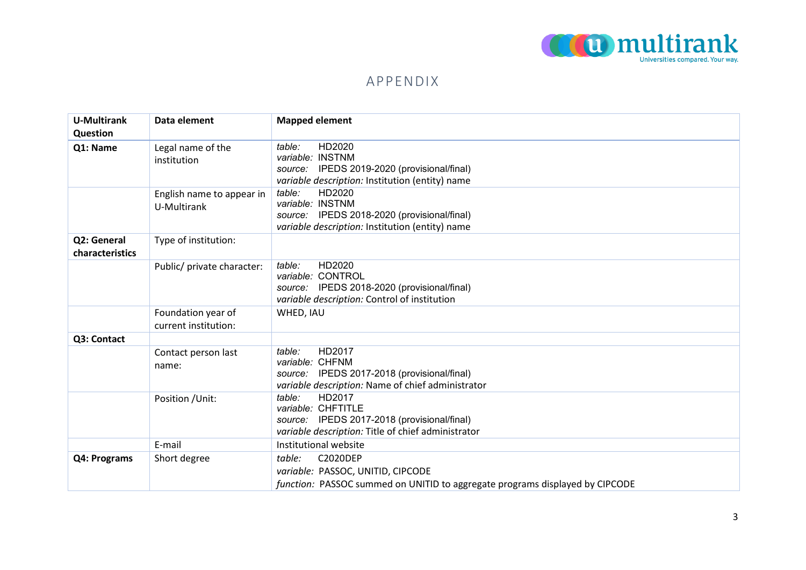

## APPENDIX

| <b>U-Multirank</b><br>Question | Data element                               | <b>Mapped element</b>                                                                                                                       |
|--------------------------------|--------------------------------------------|---------------------------------------------------------------------------------------------------------------------------------------------|
| Q1: Name                       | Legal name of the<br>institution           | HD2020<br>table:<br>variable: INSTNM<br>source: IPEDS 2019-2020 (provisional/final)<br>variable description: Institution (entity) name      |
|                                | English name to appear in<br>U-Multirank   | HD2020<br>table:<br>variable: INSTNM<br>source: IPEDS 2018-2020 (provisional/final)<br>variable description: Institution (entity) name      |
| Q2: General<br>characteristics | Type of institution:                       |                                                                                                                                             |
|                                | Public/ private character:                 | HD2020<br>table:<br>variable: CONTROL<br>source: IPEDS 2018-2020 (provisional/final)<br>variable description: Control of institution        |
|                                | Foundation year of<br>current institution: | WHED, IAU                                                                                                                                   |
| Q3: Contact                    |                                            |                                                                                                                                             |
|                                | Contact person last<br>name:               | HD2017<br>table:<br>variable: CHFNM<br>source: IPEDS 2017-2018 (provisional/final)<br>variable description: Name of chief administrator     |
|                                | Position / Unit:                           | table:<br>HD2017<br>variable: CHFTITLE<br>source: IPEDS 2017-2018 (provisional/final)<br>variable description: Title of chief administrator |
|                                | E-mail                                     | Institutional website                                                                                                                       |
| Q4: Programs                   | Short degree                               | C2020DEP<br>table:<br>variable: PASSOC, UNITID, CIPCODE<br>function: PASSOC summed on UNITID to aggregate programs displayed by CIPCODE     |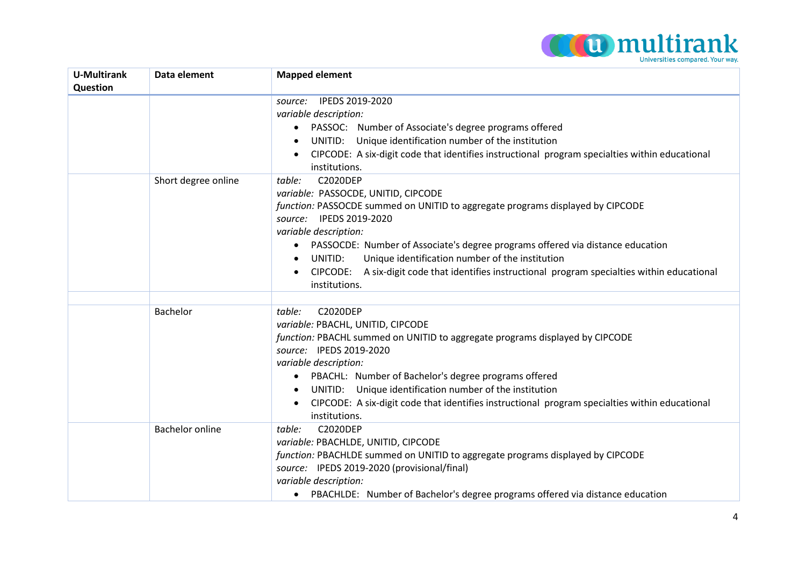

| <b>U-Multirank</b> | Data element           | <b>Mapped element</b>                                                                                           |
|--------------------|------------------------|-----------------------------------------------------------------------------------------------------------------|
| Question           |                        | IPEDS 2019-2020<br>source:                                                                                      |
|                    |                        | variable description:                                                                                           |
|                    |                        | PASSOC: Number of Associate's degree programs offered                                                           |
|                    |                        | UNITID: Unique identification number of the institution                                                         |
|                    |                        | CIPCODE: A six-digit code that identifies instructional program specialties within educational<br>$\bullet$     |
|                    |                        | institutions.                                                                                                   |
|                    | Short degree online    | <b>C2020DEP</b><br>table:                                                                                       |
|                    |                        | variable: PASSOCDE, UNITID, CIPCODE                                                                             |
|                    |                        | function: PASSOCDE summed on UNITID to aggregate programs displayed by CIPCODE                                  |
|                    |                        | source: IPEDS 2019-2020                                                                                         |
|                    |                        | variable description:                                                                                           |
|                    |                        | PASSOCDE: Number of Associate's degree programs offered via distance education                                  |
|                    |                        | Unique identification number of the institution<br>UNITID:                                                      |
|                    |                        | CIPCODE: A six-digit code that identifies instructional program specialties within educational                  |
|                    |                        | institutions.                                                                                                   |
|                    | Bachelor               | <b>C2020DEP</b><br>table:                                                                                       |
|                    |                        | variable: PBACHL, UNITID, CIPCODE                                                                               |
|                    |                        | function: PBACHL summed on UNITID to aggregate programs displayed by CIPCODE                                    |
|                    |                        | source: IPEDS 2019-2020                                                                                         |
|                    |                        | variable description:                                                                                           |
|                    |                        | PBACHL: Number of Bachelor's degree programs offered                                                            |
|                    |                        | UNITID: Unique identification number of the institution                                                         |
|                    |                        | CIPCODE: A six-digit code that identifies instructional program specialties within educational<br>institutions. |
|                    | <b>Bachelor online</b> | <b>C2020DEP</b><br>table:                                                                                       |
|                    |                        | variable: PBACHLDE, UNITID, CIPCODE                                                                             |
|                    |                        | function: PBACHLDE summed on UNITID to aggregate programs displayed by CIPCODE                                  |
|                    |                        | source: IPEDS 2019-2020 (provisional/final)                                                                     |
|                    |                        | variable description:                                                                                           |
|                    |                        | PBACHLDE: Number of Bachelor's degree programs offered via distance education                                   |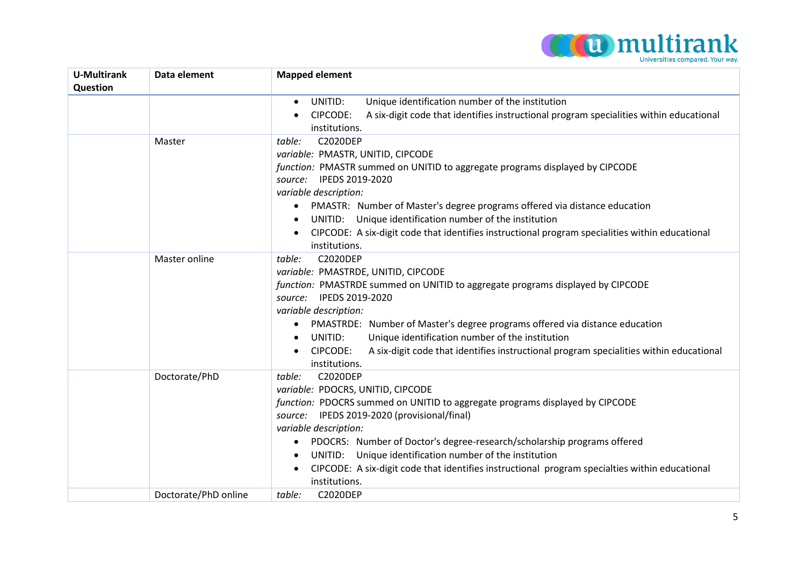

| U-Multirank<br>Question | Data element         | <b>Mapped element</b>                                                                                                                                                                                                                                                                                                                                                                                                                                                                        |
|-------------------------|----------------------|----------------------------------------------------------------------------------------------------------------------------------------------------------------------------------------------------------------------------------------------------------------------------------------------------------------------------------------------------------------------------------------------------------------------------------------------------------------------------------------------|
|                         |                      | Unique identification number of the institution<br>UNITID:<br>$\bullet$                                                                                                                                                                                                                                                                                                                                                                                                                      |
|                         |                      | A six-digit code that identifies instructional program specialities within educational<br>CIPCODE:<br>institutions.                                                                                                                                                                                                                                                                                                                                                                          |
|                         | Master               | <b>C2020DEP</b><br>table:<br>variable: PMASTR, UNITID, CIPCODE<br>function: PMASTR summed on UNITID to aggregate programs displayed by CIPCODE                                                                                                                                                                                                                                                                                                                                               |
|                         |                      | source: IPEDS 2019-2020<br>variable description:                                                                                                                                                                                                                                                                                                                                                                                                                                             |
|                         |                      | PMASTR: Number of Master's degree programs offered via distance education<br>$\bullet$<br>UNITID: Unique identification number of the institution                                                                                                                                                                                                                                                                                                                                            |
|                         |                      | CIPCODE: A six-digit code that identifies instructional program specialities within educational<br>$\bullet$<br>institutions.                                                                                                                                                                                                                                                                                                                                                                |
|                         | Master online        | table:<br><b>C2020DEP</b><br>variable: PMASTRDE, UNITID, CIPCODE<br>function: PMASTRDE summed on UNITID to aggregate programs displayed by CIPCODE<br>source: IPEDS 2019-2020<br>variable description:<br>PMASTRDE: Number of Master's degree programs offered via distance education<br>UNITID:<br>Unique identification number of the institution<br>$\bullet$<br>A six-digit code that identifies instructional program specialities within educational<br>CIPCODE:                       |
|                         | Doctorate/PhD        | institutions.<br><b>C2020DEP</b><br>table:<br>variable: PDOCRS, UNITID, CIPCODE<br>function: PDOCRS summed on UNITID to aggregate programs displayed by CIPCODE<br>source: IPEDS 2019-2020 (provisional/final)<br>variable description:<br>PDOCRS: Number of Doctor's degree-research/scholarship programs offered<br>$\bullet$<br>UNITID: Unique identification number of the institution<br>CIPCODE: A six-digit code that identifies instructional program specialties within educational |
|                         |                      | institutions.                                                                                                                                                                                                                                                                                                                                                                                                                                                                                |
|                         | Doctorate/PhD online | <b>C2020DEP</b><br>table:                                                                                                                                                                                                                                                                                                                                                                                                                                                                    |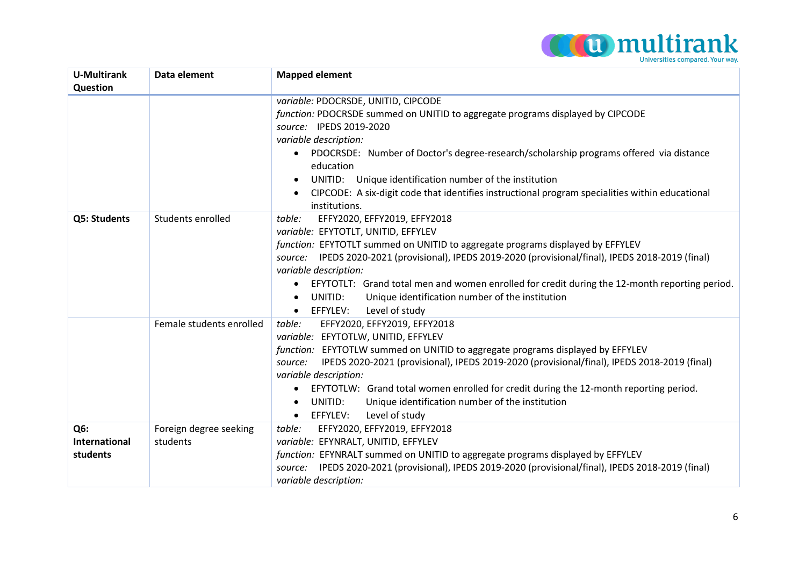

| <b>U-Multirank</b> | Data element             | <b>Mapped element</b>                                                                                  |
|--------------------|--------------------------|--------------------------------------------------------------------------------------------------------|
| Question           |                          |                                                                                                        |
|                    |                          | variable: PDOCRSDE, UNITID, CIPCODE                                                                    |
|                    |                          | function: PDOCRSDE summed on UNITID to aggregate programs displayed by CIPCODE                         |
|                    |                          | source: IPEDS 2019-2020                                                                                |
|                    |                          | variable description:                                                                                  |
|                    |                          | PDOCRSDE: Number of Doctor's degree-research/scholarship programs offered via distance                 |
|                    |                          | education                                                                                              |
|                    |                          | UNITID: Unique identification number of the institution                                                |
|                    |                          | CIPCODE: A six-digit code that identifies instructional program specialities within educational        |
|                    |                          | institutions.                                                                                          |
| Q5: Students       | Students enrolled        | table:<br>EFFY2020, EFFY2019, EFFY2018                                                                 |
|                    |                          | variable: EFYTOTLT, UNITID, EFFYLEV                                                                    |
|                    |                          | function: EFYTOTLT summed on UNITID to aggregate programs displayed by EFFYLEV                         |
|                    |                          | source: IPEDS 2020-2021 (provisional), IPEDS 2019-2020 (provisional/final), IPEDS 2018-2019 (final)    |
|                    |                          | variable description:                                                                                  |
|                    |                          | EFYTOTLT: Grand total men and women enrolled for credit during the 12-month reporting period.          |
|                    |                          | Unique identification number of the institution<br>UNITID:                                             |
|                    |                          | Level of study<br>EFFYLEV:<br>$\bullet$                                                                |
|                    | Female students enrolled | EFFY2020, EFFY2019, EFFY2018<br>table:                                                                 |
|                    |                          | variable: EFYTOTLW, UNITID, EFFYLEV                                                                    |
|                    |                          | function: EFYTOTLW summed on UNITID to aggregate programs displayed by EFFYLEV                         |
|                    |                          | IPEDS 2020-2021 (provisional), IPEDS 2019-2020 (provisional/final), IPEDS 2018-2019 (final)<br>source: |
|                    |                          | variable description:                                                                                  |
|                    |                          | EFYTOTLW: Grand total women enrolled for credit during the 12-month reporting period.                  |
|                    |                          | Unique identification number of the institution<br>UNITID:<br>$\bullet$                                |
|                    |                          | Level of study<br>EFFYLEV:<br>$\bullet$                                                                |
| Q6:                | Foreign degree seeking   | EFFY2020, EFFY2019, EFFY2018<br>table:                                                                 |
| International      | students                 | variable: EFYNRALT, UNITID, EFFYLEV                                                                    |
| students           |                          | function: EFYNRALT summed on UNITID to aggregate programs displayed by EFFYLEV                         |
|                    |                          | IPEDS 2020-2021 (provisional), IPEDS 2019-2020 (provisional/final), IPEDS 2018-2019 (final)<br>source: |
|                    |                          | variable description:                                                                                  |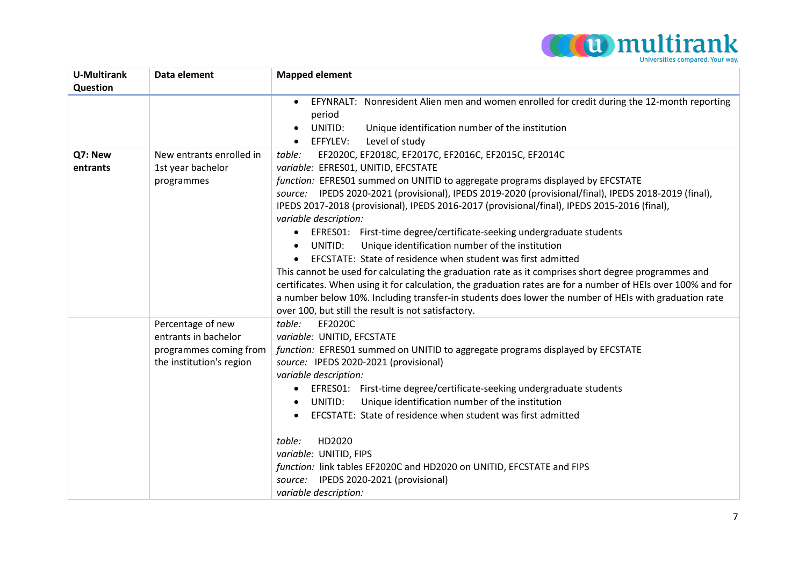

| <b>U-Multirank</b> | Data element             | <b>Mapped element</b>                                                                                        |
|--------------------|--------------------------|--------------------------------------------------------------------------------------------------------------|
| Question           |                          |                                                                                                              |
|                    |                          | EFYNRALT: Nonresident Alien men and women enrolled for credit during the 12-month reporting                  |
|                    |                          | period                                                                                                       |
|                    |                          | UNITID:<br>Unique identification number of the institution<br>$\bullet$                                      |
|                    |                          | Level of study<br>EFFYLEV:<br>$\bullet$                                                                      |
| Q7: New            | New entrants enrolled in | EF2020C, EF2018C, EF2017C, EF2016C, EF2015C, EF2014C<br>table:                                               |
| entrants           | 1st year bachelor        | variable: EFRES01, UNITID, EFCSTATE                                                                          |
|                    | programmes               | function: EFRES01 summed on UNITID to aggregate programs displayed by EFCSTATE                               |
|                    |                          | source: IPEDS 2020-2021 (provisional), IPEDS 2019-2020 (provisional/final), IPEDS 2018-2019 (final),         |
|                    |                          | IPEDS 2017-2018 (provisional), IPEDS 2016-2017 (provisional/final), IPEDS 2015-2016 (final),                 |
|                    |                          | variable description:                                                                                        |
|                    |                          | EFRES01: First-time degree/certificate-seeking undergraduate students                                        |
|                    |                          | Unique identification number of the institution<br>UNITID:<br>$\bullet$                                      |
|                    |                          | EFCSTATE: State of residence when student was first admitted                                                 |
|                    |                          | This cannot be used for calculating the graduation rate as it comprises short degree programmes and          |
|                    |                          | certificates. When using it for calculation, the graduation rates are for a number of HEIs over 100% and for |
|                    |                          | a number below 10%. Including transfer-in students does lower the number of HEIs with graduation rate        |
|                    |                          | over 100, but still the result is not satisfactory.                                                          |
|                    | Percentage of new        | table:<br>EF2020C                                                                                            |
|                    | entrants in bachelor     | variable: UNITID, EFCSTATE                                                                                   |
|                    | programmes coming from   | function: EFRES01 summed on UNITID to aggregate programs displayed by EFCSTATE                               |
|                    | the institution's region | source: IPEDS 2020-2021 (provisional)                                                                        |
|                    |                          | variable description:                                                                                        |
|                    |                          | EFRES01: First-time degree/certificate-seeking undergraduate students<br>$\bullet$                           |
|                    |                          | Unique identification number of the institution<br>UNITID:                                                   |
|                    |                          | EFCSTATE: State of residence when student was first admitted                                                 |
|                    |                          | HD2020<br>table:                                                                                             |
|                    |                          | variable: UNITID, FIPS                                                                                       |
|                    |                          | function: link tables EF2020C and HD2020 on UNITID, EFCSTATE and FIPS                                        |
|                    |                          | source: IPEDS 2020-2021 (provisional)                                                                        |
|                    |                          | variable description:                                                                                        |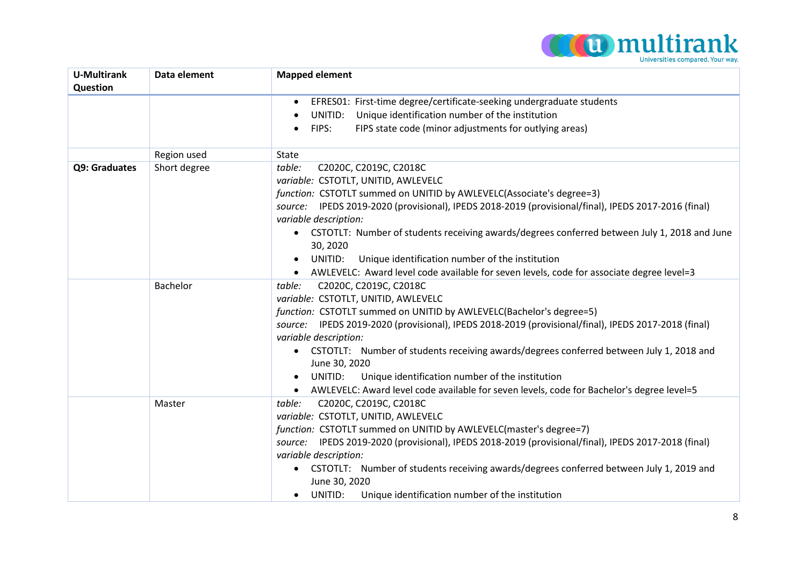

| <b>U-Multirank</b><br>Question | Data element | <b>Mapped element</b>                                                                                    |
|--------------------------------|--------------|----------------------------------------------------------------------------------------------------------|
|                                |              | EFRES01: First-time degree/certificate-seeking undergraduate students<br>$\bullet$                       |
|                                |              | Unique identification number of the institution<br>UNITID:                                               |
|                                |              | FIPS state code (minor adjustments for outlying areas)<br>FIPS:                                          |
|                                | Region used  | State                                                                                                    |
| Q9: Graduates                  | Short degree | C2020C, C2019C, C2018C<br>table:                                                                         |
|                                |              | variable: CSTOTLT, UNITID, AWLEVELC                                                                      |
|                                |              | function: CSTOTLT summed on UNITID by AWLEVELC(Associate's degree=3)                                     |
|                                |              | source: IPEDS 2019-2020 (provisional), IPEDS 2018-2019 (provisional/final), IPEDS 2017-2016 (final)      |
|                                |              | variable description:                                                                                    |
|                                |              | CSTOTLT: Number of students receiving awards/degrees conferred between July 1, 2018 and June<br>30, 2020 |
|                                |              | Unique identification number of the institution<br>UNITID:                                               |
|                                |              | AWLEVELC: Award level code available for seven levels, code for associate degree level=3                 |
|                                | Bachelor     | C2020C, C2019C, C2018C<br>table:                                                                         |
|                                |              | variable: CSTOTLT, UNITID, AWLEVELC                                                                      |
|                                |              | function: CSTOTLT summed on UNITID by AWLEVELC(Bachelor's degree=5)                                      |
|                                |              | source: IPEDS 2019-2020 (provisional), IPEDS 2018-2019 (provisional/final), IPEDS 2017-2018 (final)      |
|                                |              | variable description:                                                                                    |
|                                |              | CSTOTLT: Number of students receiving awards/degrees conferred between July 1, 2018 and<br>June 30, 2020 |
|                                |              | Unique identification number of the institution<br>UNITID:<br>$\bullet$                                  |
|                                |              | AWLEVELC: Award level code available for seven levels, code for Bachelor's degree level=5<br>$\bullet$   |
|                                | Master       | C2020C, C2019C, C2018C<br>table:                                                                         |
|                                |              | variable: CSTOTLT, UNITID, AWLEVELC                                                                      |
|                                |              | function: CSTOTLT summed on UNITID by AWLEVELC(master's degree=7)                                        |
|                                |              | source: IPEDS 2019-2020 (provisional), IPEDS 2018-2019 (provisional/final), IPEDS 2017-2018 (final)      |
|                                |              | variable description:                                                                                    |
|                                |              | CSTOTLT: Number of students receiving awards/degrees conferred between July 1, 2019 and                  |
|                                |              | June 30, 2020                                                                                            |
|                                |              | UNITID:<br>Unique identification number of the institution<br>$\bullet$                                  |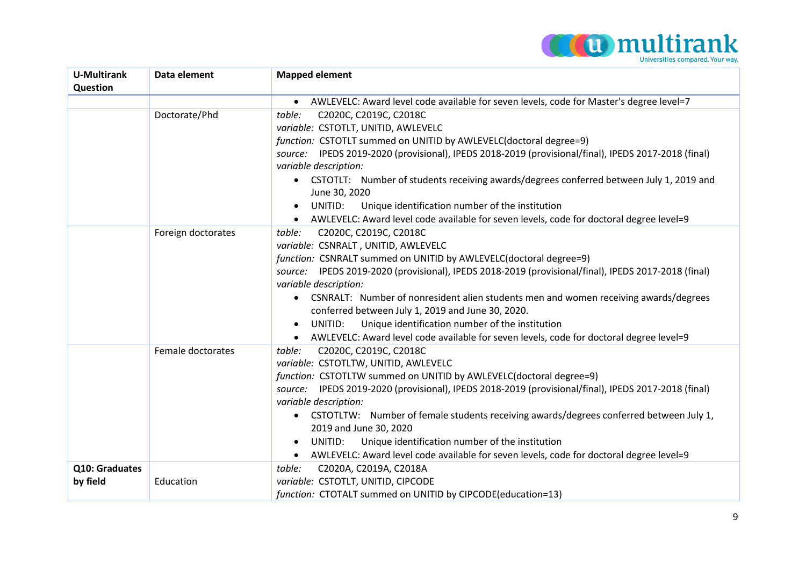

| <b>U-Multirank</b> | Data element       | <b>Mapped element</b>                                                                                    |
|--------------------|--------------------|----------------------------------------------------------------------------------------------------------|
| Question           |                    |                                                                                                          |
|                    |                    | AWLEVELC: Award level code available for seven levels, code for Master's degree level=7                  |
|                    | Doctorate/Phd      | table:<br>C2020C, C2019C, C2018C                                                                         |
|                    |                    | variable: CSTOTLT, UNITID, AWLEVELC                                                                      |
|                    |                    | function: CSTOTLT summed on UNITID by AWLEVELC(doctoral degree=9)                                        |
|                    |                    | source: IPEDS 2019-2020 (provisional), IPEDS 2018-2019 (provisional/final), IPEDS 2017-2018 (final)      |
|                    |                    | variable description:                                                                                    |
|                    |                    | CSTOTLT: Number of students receiving awards/degrees conferred between July 1, 2019 and<br>June 30, 2020 |
|                    |                    | UNITID:<br>Unique identification number of the institution<br>$\bullet$                                  |
|                    |                    | AWLEVELC: Award level code available for seven levels, code for doctoral degree level=9<br>$\bullet$     |
|                    | Foreign doctorates | C2020C, C2019C, C2018C<br>table:                                                                         |
|                    |                    | variable: CSNRALT, UNITID, AWLEVELC                                                                      |
|                    |                    | function: CSNRALT summed on UNITID by AWLEVELC(doctoral degree=9)                                        |
|                    |                    | source: IPEDS 2019-2020 (provisional), IPEDS 2018-2019 (provisional/final), IPEDS 2017-2018 (final)      |
|                    |                    | variable description:                                                                                    |
|                    |                    | CSNRALT: Number of nonresident alien students men and women receiving awards/degrees<br>$\bullet$        |
|                    |                    | conferred between July 1, 2019 and June 30, 2020.                                                        |
|                    |                    | Unique identification number of the institution<br>UNITID:                                               |
|                    |                    | AWLEVELC: Award level code available for seven levels, code for doctoral degree level=9<br>$\bullet$     |
|                    | Female doctorates  | C2020C, C2019C, C2018C<br>table:                                                                         |
|                    |                    | variable: CSTOTLTW, UNITID, AWLEVELC                                                                     |
|                    |                    | function: CSTOTLTW summed on UNITID by AWLEVELC(doctoral degree=9)                                       |
|                    |                    | source: IPEDS 2019-2020 (provisional), IPEDS 2018-2019 (provisional/final), IPEDS 2017-2018 (final)      |
|                    |                    | variable description:                                                                                    |
|                    |                    | CSTOTLTW: Number of female students receiving awards/degrees conferred between July 1,                   |
|                    |                    | 2019 and June 30, 2020                                                                                   |
|                    |                    | Unique identification number of the institution<br>UNITID:<br>$\bullet$                                  |
|                    |                    | AWLEVELC: Award level code available for seven levels, code for doctoral degree level=9<br>$\bullet$     |
| Q10: Graduates     |                    | C2020A, C2019A, C2018A<br>table:                                                                         |
| by field           | Education          | variable: CSTOTLT, UNITID, CIPCODE                                                                       |
|                    |                    | function: CTOTALT summed on UNITID by CIPCODE(education=13)                                              |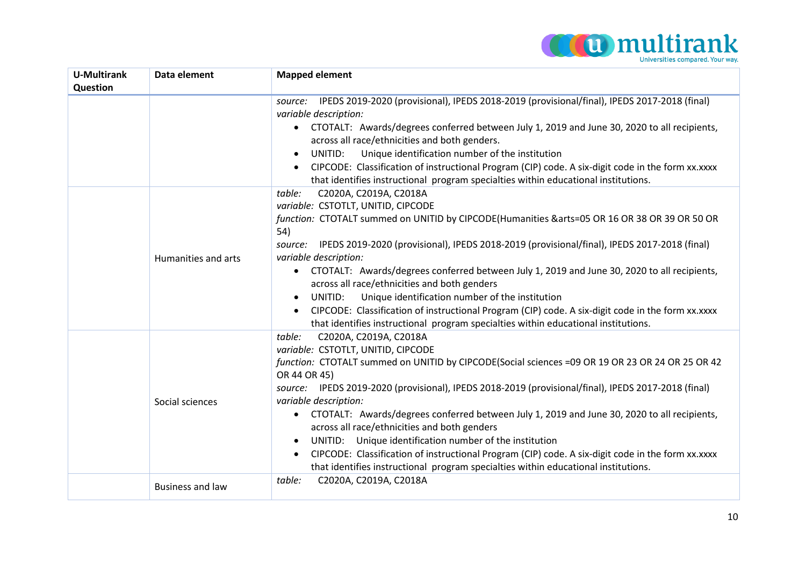

| <b>U-Multirank</b> | Data element            | <b>Mapped element</b>                                                                                          |
|--------------------|-------------------------|----------------------------------------------------------------------------------------------------------------|
| Question           |                         |                                                                                                                |
|                    |                         | IPEDS 2019-2020 (provisional), IPEDS 2018-2019 (provisional/final), IPEDS 2017-2018 (final)<br>source:         |
|                    |                         | variable description:                                                                                          |
|                    |                         | CTOTALT: Awards/degrees conferred between July 1, 2019 and June 30, 2020 to all recipients,<br>$\bullet$       |
|                    |                         | across all race/ethnicities and both genders.                                                                  |
|                    |                         | Unique identification number of the institution<br>UNITID:<br>$\bullet$                                        |
|                    |                         | CIPCODE: Classification of instructional Program (CIP) code. A six-digit code in the form xx.xxxx<br>$\bullet$ |
|                    |                         | that identifies instructional program specialties within educational institutions.                             |
|                    |                         | C2020A, C2019A, C2018A<br>table:                                                                               |
|                    |                         | variable: CSTOTLT, UNITID, CIPCODE                                                                             |
|                    |                         | function: CTOTALT summed on UNITID by CIPCODE(Humanities &arts=05 OR 16 OR 38 OR 39 OR 50 OR                   |
|                    |                         | 54)                                                                                                            |
|                    |                         | IPEDS 2019-2020 (provisional), IPEDS 2018-2019 (provisional/final), IPEDS 2017-2018 (final)<br>source:         |
|                    | Humanities and arts     | variable description:                                                                                          |
|                    |                         | CTOTALT: Awards/degrees conferred between July 1, 2019 and June 30, 2020 to all recipients,<br>$\bullet$       |
|                    |                         | across all race/ethnicities and both genders                                                                   |
|                    |                         | Unique identification number of the institution<br>UNITID:<br>$\bullet$                                        |
|                    |                         | CIPCODE: Classification of instructional Program (CIP) code. A six-digit code in the form xx.xxxx<br>$\bullet$ |
|                    |                         | that identifies instructional program specialties within educational institutions.                             |
|                    |                         | C2020A, C2019A, C2018A<br>table:                                                                               |
|                    |                         | variable: CSTOTLT, UNITID, CIPCODE                                                                             |
|                    |                         | function: CTOTALT summed on UNITID by CIPCODE(Social sciences =09 OR 19 OR 23 OR 24 OR 25 OR 42                |
|                    |                         | OR 44 OR 45)                                                                                                   |
|                    |                         | source: IPEDS 2019-2020 (provisional), IPEDS 2018-2019 (provisional/final), IPEDS 2017-2018 (final)            |
|                    | Social sciences         | variable description:                                                                                          |
|                    |                         | CTOTALT: Awards/degrees conferred between July 1, 2019 and June 30, 2020 to all recipients,<br>٠               |
|                    |                         | across all race/ethnicities and both genders                                                                   |
|                    |                         | UNITID: Unique identification number of the institution<br>٠                                                   |
|                    |                         | CIPCODE: Classification of instructional Program (CIP) code. A six-digit code in the form xx.xxxx<br>$\bullet$ |
|                    |                         | that identifies instructional program specialties within educational institutions.                             |
|                    | <b>Business and law</b> | C2020A, C2019A, C2018A<br>table:                                                                               |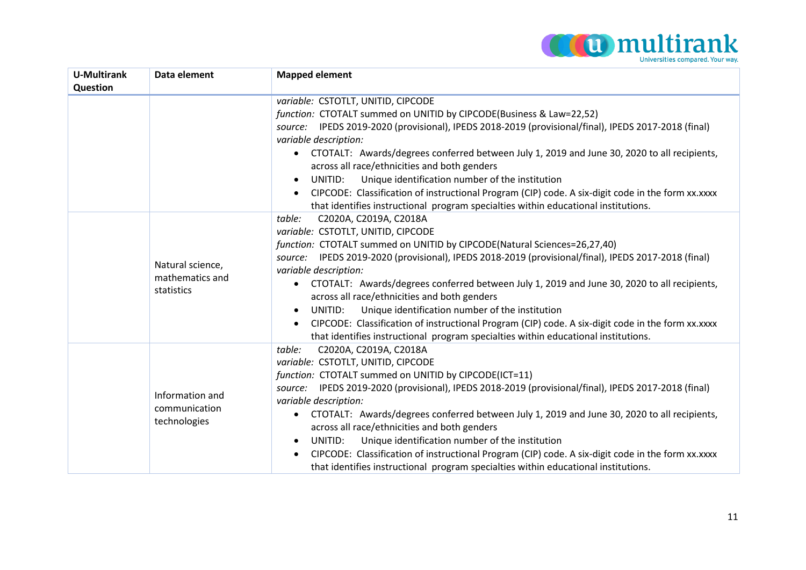

| <b>U-Multirank</b> | Data element                                     | <b>Mapped element</b>                                                                                                                                    |
|--------------------|--------------------------------------------------|----------------------------------------------------------------------------------------------------------------------------------------------------------|
| Question           |                                                  |                                                                                                                                                          |
|                    |                                                  | variable: CSTOTLT, UNITID, CIPCODE                                                                                                                       |
|                    |                                                  | function: CTOTALT summed on UNITID by CIPCODE(Business & Law=22,52)                                                                                      |
|                    |                                                  | source: IPEDS 2019-2020 (provisional), IPEDS 2018-2019 (provisional/final), IPEDS 2017-2018 (final)                                                      |
|                    |                                                  | variable description:                                                                                                                                    |
|                    |                                                  | CTOTALT: Awards/degrees conferred between July 1, 2019 and June 30, 2020 to all recipients,<br>$\bullet$<br>across all race/ethnicities and both genders |
|                    |                                                  | Unique identification number of the institution<br>UNITID:<br>$\bullet$                                                                                  |
|                    |                                                  | CIPCODE: Classification of instructional Program (CIP) code. A six-digit code in the form xx.xxxx                                                        |
|                    |                                                  | that identifies instructional program specialties within educational institutions.                                                                       |
|                    |                                                  | C2020A, C2019A, C2018A<br>table:                                                                                                                         |
|                    |                                                  | variable: CSTOTLT, UNITID, CIPCODE                                                                                                                       |
|                    |                                                  | function: CTOTALT summed on UNITID by CIPCODE(Natural Sciences=26,27,40)                                                                                 |
|                    |                                                  | source: IPEDS 2019-2020 (provisional), IPEDS 2018-2019 (provisional/final), IPEDS 2017-2018 (final)                                                      |
|                    | Natural science,                                 | variable description:                                                                                                                                    |
|                    | mathematics and                                  | CTOTALT: Awards/degrees conferred between July 1, 2019 and June 30, 2020 to all recipients,<br>$\bullet$                                                 |
|                    | statistics                                       | across all race/ethnicities and both genders                                                                                                             |
|                    |                                                  | Unique identification number of the institution<br>UNITID:<br>$\bullet$                                                                                  |
|                    |                                                  | CIPCODE: Classification of instructional Program (CIP) code. A six-digit code in the form xx.xxxx                                                        |
|                    |                                                  | that identifies instructional program specialties within educational institutions.                                                                       |
|                    |                                                  | C2020A, C2019A, C2018A<br>table:                                                                                                                         |
|                    |                                                  | variable: CSTOTLT, UNITID, CIPCODE                                                                                                                       |
|                    |                                                  | function: CTOTALT summed on UNITID by CIPCODE(ICT=11)                                                                                                    |
|                    |                                                  | source: IPEDS 2019-2020 (provisional), IPEDS 2018-2019 (provisional/final), IPEDS 2017-2018 (final)                                                      |
|                    | Information and<br>communication<br>technologies | variable description:                                                                                                                                    |
|                    |                                                  | CTOTALT: Awards/degrees conferred between July 1, 2019 and June 30, 2020 to all recipients,<br>$\bullet$                                                 |
|                    |                                                  | across all race/ethnicities and both genders                                                                                                             |
|                    |                                                  | Unique identification number of the institution<br>UNITID:<br>$\bullet$                                                                                  |
|                    |                                                  | CIPCODE: Classification of instructional Program (CIP) code. A six-digit code in the form xx.xxxx                                                        |
|                    |                                                  | that identifies instructional program specialties within educational institutions.                                                                       |
|                    |                                                  |                                                                                                                                                          |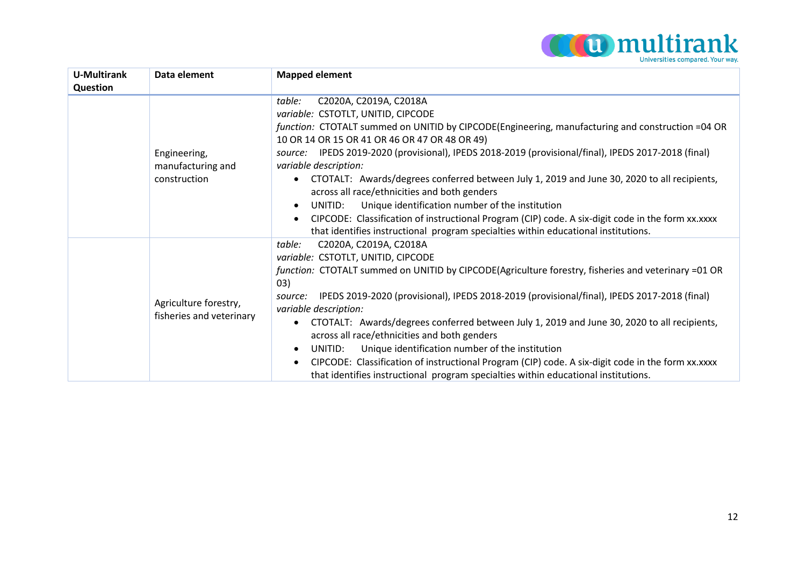

| <b>U-Multirank</b> | Data element                                      | <b>Mapped element</b>                                                                                                                                                                                                                                                                                                                                                                                                                                                                                                                                                                                                                                                                                                                                                                              |
|--------------------|---------------------------------------------------|----------------------------------------------------------------------------------------------------------------------------------------------------------------------------------------------------------------------------------------------------------------------------------------------------------------------------------------------------------------------------------------------------------------------------------------------------------------------------------------------------------------------------------------------------------------------------------------------------------------------------------------------------------------------------------------------------------------------------------------------------------------------------------------------------|
| <b>Question</b>    |                                                   |                                                                                                                                                                                                                                                                                                                                                                                                                                                                                                                                                                                                                                                                                                                                                                                                    |
|                    | Engineering,<br>manufacturing and<br>construction | C2020A, C2019A, C2018A<br>table:<br>variable: CSTOTLT, UNITID, CIPCODE<br>function: CTOTALT summed on UNITID by CIPCODE(Engineering, manufacturing and construction =04 OR<br>10 OR 14 OR 15 OR 41 OR 46 OR 47 OR 48 OR 49)<br>source: IPEDS 2019-2020 (provisional), IPEDS 2018-2019 (provisional/final), IPEDS 2017-2018 (final)<br>variable description:<br>CTOTALT: Awards/degrees conferred between July 1, 2019 and June 30, 2020 to all recipients,<br>٠<br>across all race/ethnicities and both genders<br>Unique identification number of the institution<br>UNITID:<br>$\bullet$<br>CIPCODE: Classification of instructional Program (CIP) code. A six-digit code in the form xx.xxxx<br>$\bullet$<br>that identifies instructional program specialties within educational institutions. |
|                    | Agriculture forestry,<br>fisheries and veterinary | C2020A, C2019A, C2018A<br>table:<br>variable: CSTOTLT, UNITID, CIPCODE<br>function: CTOTALT summed on UNITID by CIPCODE(Agriculture forestry, fisheries and veterinary =01 OR<br>03)<br>IPEDS 2019-2020 (provisional), IPEDS 2018-2019 (provisional/final), IPEDS 2017-2018 (final)<br>source:<br>variable description:<br>CTOTALT: Awards/degrees conferred between July 1, 2019 and June 30, 2020 to all recipients,<br>across all race/ethnicities and both genders<br>Unique identification number of the institution<br>UNITID:<br>$\bullet$<br>CIPCODE: Classification of instructional Program (CIP) code. A six-digit code in the form xx.xxxx<br>$\bullet$<br>that identifies instructional program specialties within educational institutions.                                          |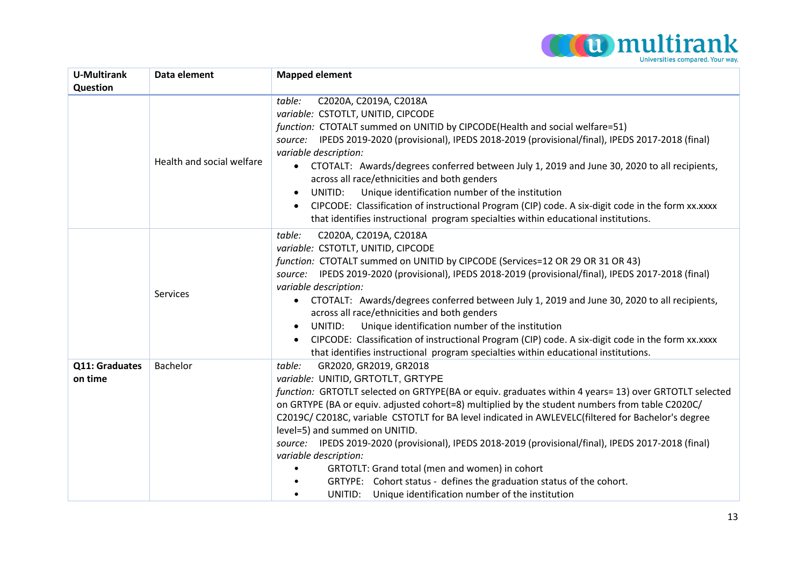

| <b>U-Multirank</b><br>Question | Data element              | <b>Mapped element</b>                                                                                                                                                                                                                                                                                                                                                                                                                                                                                                                                                                                                                                                                                                                                          |
|--------------------------------|---------------------------|----------------------------------------------------------------------------------------------------------------------------------------------------------------------------------------------------------------------------------------------------------------------------------------------------------------------------------------------------------------------------------------------------------------------------------------------------------------------------------------------------------------------------------------------------------------------------------------------------------------------------------------------------------------------------------------------------------------------------------------------------------------|
|                                | Health and social welfare | table:<br>C2020A, C2019A, C2018A<br>variable: CSTOTLT, UNITID, CIPCODE<br>function: CTOTALT summed on UNITID by CIPCODE(Health and social welfare=51)<br>source: IPEDS 2019-2020 (provisional), IPEDS 2018-2019 (provisional/final), IPEDS 2017-2018 (final)<br>variable description:<br>CTOTALT: Awards/degrees conferred between July 1, 2019 and June 30, 2020 to all recipients,<br>$\bullet$<br>across all race/ethnicities and both genders<br>Unique identification number of the institution<br>UNITID:<br>$\bullet$<br>CIPCODE: Classification of instructional Program (CIP) code. A six-digit code in the form xx.xxxx<br>$\bullet$<br>that identifies instructional program specialties within educational institutions.                           |
|                                | Services                  | table:<br>C2020A, C2019A, C2018A<br>variable: CSTOTLT, UNITID, CIPCODE<br>function: CTOTALT summed on UNITID by CIPCODE (Services=12 OR 29 OR 31 OR 43)<br>source: IPEDS 2019-2020 (provisional), IPEDS 2018-2019 (provisional/final), IPEDS 2017-2018 (final)<br>variable description:<br>CTOTALT: Awards/degrees conferred between July 1, 2019 and June 30, 2020 to all recipients,<br>across all race/ethnicities and both genders<br>Unique identification number of the institution<br>UNITID:<br>$\bullet$<br>CIPCODE: Classification of instructional Program (CIP) code. A six-digit code in the form xx.xxxx<br>that identifies instructional program specialties within educational institutions.                                                   |
| Q11: Graduates<br>on time      | Bachelor                  | GR2020, GR2019, GR2018<br>table:<br>variable: UNITID, GRTOTLT, GRTYPE<br>function: GRTOTLT selected on GRTYPE(BA or equiv. graduates within 4 years= 13) over GRTOTLT selected<br>on GRTYPE (BA or equiv. adjusted cohort=8) multiplied by the student numbers from table C2020C/<br>C2019C/ C2018C, variable CSTOTLT for BA level indicated in AWLEVELC(filtered for Bachelor's degree<br>level=5) and summed on UNITID.<br>source: IPEDS 2019-2020 (provisional), IPEDS 2018-2019 (provisional/final), IPEDS 2017-2018 (final)<br>variable description:<br>GRTOTLT: Grand total (men and women) in cohort<br>GRTYPE: Cohort status - defines the graduation status of the cohort.<br>Unique identification number of the institution<br>UNITID:<br>$\bullet$ |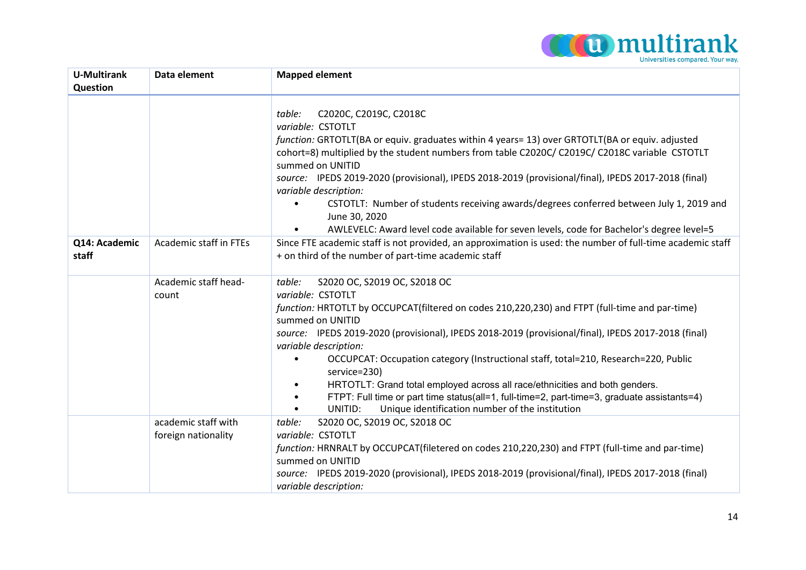

| <b>U-Multirank</b><br>Question | Data element                               | <b>Mapped element</b>                                                                                                                                                                                                                                                                                                                                                                                                                                                                                                                                                                                                                                                                          |
|--------------------------------|--------------------------------------------|------------------------------------------------------------------------------------------------------------------------------------------------------------------------------------------------------------------------------------------------------------------------------------------------------------------------------------------------------------------------------------------------------------------------------------------------------------------------------------------------------------------------------------------------------------------------------------------------------------------------------------------------------------------------------------------------|
|                                |                                            | C2020C, C2019C, C2018C<br>table:<br>variable: CSTOTLT<br>function: GRTOTLT(BA or equiv. graduates within 4 years= 13) over GRTOTLT(BA or equiv. adjusted<br>cohort=8) multiplied by the student numbers from table C2020C/ C2019C/ C2018C variable CSTOTLT<br>summed on UNITID<br>source: IPEDS 2019-2020 (provisional), IPEDS 2018-2019 (provisional/final), IPEDS 2017-2018 (final)<br>variable description:<br>CSTOTLT: Number of students receiving awards/degrees conferred between July 1, 2019 and<br>$\bullet$<br>June 30, 2020<br>AWLEVELC: Award level code available for seven levels, code for Bachelor's degree level=5<br>$\bullet$                                              |
| Q14: Academic<br>staff         | Academic staff in FTEs                     | Since FTE academic staff is not provided, an approximation is used: the number of full-time academic staff<br>+ on third of the number of part-time academic staff                                                                                                                                                                                                                                                                                                                                                                                                                                                                                                                             |
|                                | Academic staff head-<br>count              | S2020 OC, S2019 OC, S2018 OC<br>table:<br>variable: CSTOTLT<br>function: HRTOTLT by OCCUPCAT(filtered on codes 210,220,230) and FTPT (full-time and par-time)<br>summed on UNITID<br>source: IPEDS 2019-2020 (provisional), IPEDS 2018-2019 (provisional/final), IPEDS 2017-2018 (final)<br>variable description:<br>OCCUPCAT: Occupation category (Instructional staff, total=210, Research=220, Public<br>service=230)<br>HRTOTLT: Grand total employed across all race/ethnicities and both genders.<br>$\bullet$<br>FTPT: Full time or part time status(all=1, full-time=2, part-time=3, graduate assistants=4)<br>UNITID:<br>Unique identification number of the institution<br>$\bullet$ |
|                                | academic staff with<br>foreign nationality | S2020 OC, S2019 OC, S2018 OC<br>table:<br>variable: CSTOTLT<br>function: HRNRALT by OCCUPCAT(filetered on codes 210,220,230) and FTPT (full-time and par-time)<br>summed on UNITID<br>source: IPEDS 2019-2020 (provisional), IPEDS 2018-2019 (provisional/final), IPEDS 2017-2018 (final)<br>variable description:                                                                                                                                                                                                                                                                                                                                                                             |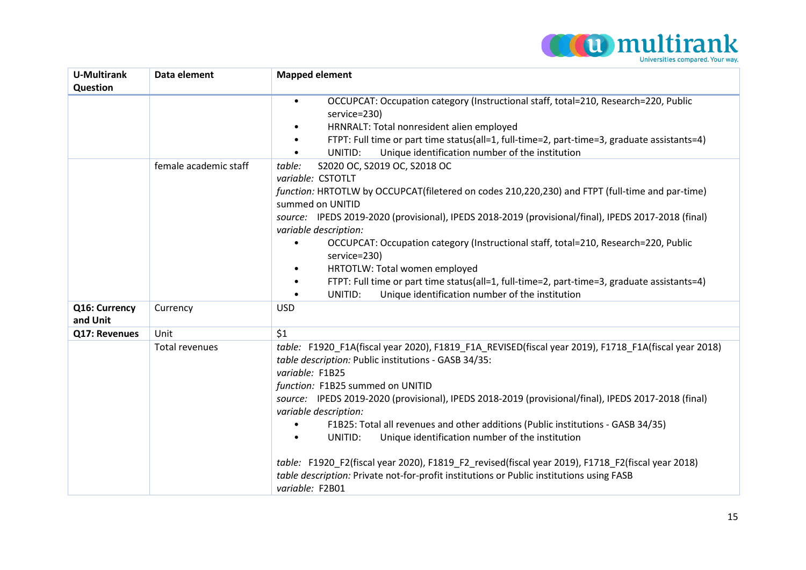

| <b>U-Multirank</b><br>Question | Data element          | <b>Mapped element</b>                                                                                                                                                                                                                                                                                                                                                                                                                                                                                                                                                                                                                                                                                                                  |
|--------------------------------|-----------------------|----------------------------------------------------------------------------------------------------------------------------------------------------------------------------------------------------------------------------------------------------------------------------------------------------------------------------------------------------------------------------------------------------------------------------------------------------------------------------------------------------------------------------------------------------------------------------------------------------------------------------------------------------------------------------------------------------------------------------------------|
|                                |                       | OCCUPCAT: Occupation category (Instructional staff, total=210, Research=220, Public<br>$\bullet$<br>service=230)<br>HRNRALT: Total nonresident alien employed<br>$\bullet$<br>FTPT: Full time or part time status(all=1, full-time=2, part-time=3, graduate assistants=4)<br>$\bullet$<br>Unique identification number of the institution<br>UNITID:<br>$\bullet$                                                                                                                                                                                                                                                                                                                                                                      |
|                                | female academic staff | S2020 OC, S2019 OC, S2018 OC<br>table:<br>variable: CSTOTLT<br>function: HRTOTLW by OCCUPCAT(filetered on codes 210,220,230) and FTPT (full-time and par-time)<br>summed on UNITID<br>source: IPEDS 2019-2020 (provisional), IPEDS 2018-2019 (provisional/final), IPEDS 2017-2018 (final)<br>variable description:<br>OCCUPCAT: Occupation category (Instructional staff, total=210, Research=220, Public<br>service=230)<br>HRTOTLW: Total women employed<br>FTPT: Full time or part time status(all=1, full-time=2, part-time=3, graduate assistants=4)<br>Unique identification number of the institution<br>UNITID:                                                                                                                |
| Q16: Currency<br>and Unit      | Currency              | <b>USD</b>                                                                                                                                                                                                                                                                                                                                                                                                                                                                                                                                                                                                                                                                                                                             |
| Q17: Revenues                  | Unit                  | \$1                                                                                                                                                                                                                                                                                                                                                                                                                                                                                                                                                                                                                                                                                                                                    |
|                                | Total revenues        | table: F1920_F1A(fiscal year 2020), F1819_F1A_REVISED(fiscal year 2019), F1718_F1A(fiscal year 2018)<br>table description: Public institutions - GASB 34/35:<br>variable: F1B25<br>function: F1B25 summed on UNITID<br>source: IPEDS 2019-2020 (provisional), IPEDS 2018-2019 (provisional/final), IPEDS 2017-2018 (final)<br>variable description:<br>F1B25: Total all revenues and other additions (Public institutions - GASB 34/35)<br>Unique identification number of the institution<br>UNITID:<br>$\bullet$<br>table: F1920 F2(fiscal year 2020), F1819 F2 revised(fiscal year 2019), F1718 F2(fiscal year 2018)<br>table description: Private not-for-profit institutions or Public institutions using FASB<br>variable: F2B01 |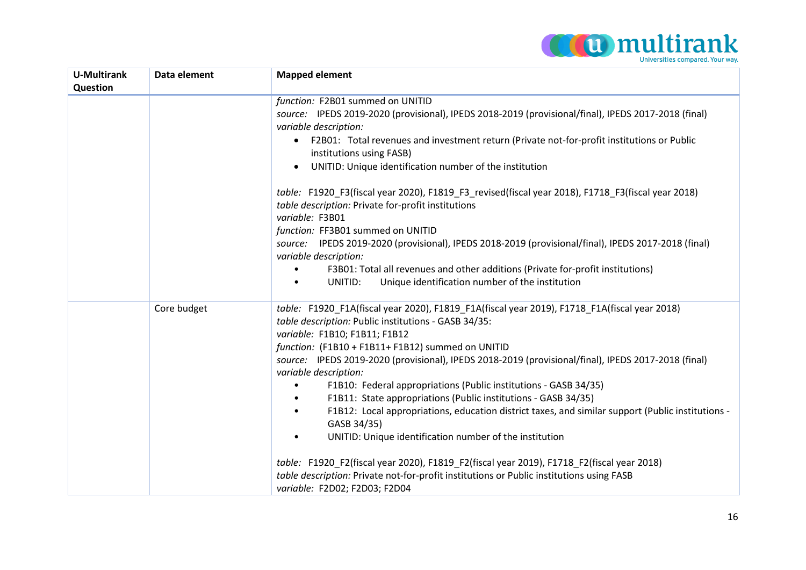

| <b>U-Multirank</b> | Data element | <b>Mapped element</b>                                                                                                                                                                                                                                                                                                                                                                                                                                       |
|--------------------|--------------|-------------------------------------------------------------------------------------------------------------------------------------------------------------------------------------------------------------------------------------------------------------------------------------------------------------------------------------------------------------------------------------------------------------------------------------------------------------|
| Question           |              | function: F2B01 summed on UNITID                                                                                                                                                                                                                                                                                                                                                                                                                            |
|                    |              | source: IPEDS 2019-2020 (provisional), IPEDS 2018-2019 (provisional/final), IPEDS 2017-2018 (final)<br>variable description:                                                                                                                                                                                                                                                                                                                                |
|                    |              | F2B01: Total revenues and investment return (Private not-for-profit institutions or Public<br>٠<br>institutions using FASB)                                                                                                                                                                                                                                                                                                                                 |
|                    |              | UNITID: Unique identification number of the institution                                                                                                                                                                                                                                                                                                                                                                                                     |
|                    |              | table: F1920_F3(fiscal year 2020), F1819_F3_revised(fiscal year 2018), F1718_F3(fiscal year 2018)<br>table description: Private for-profit institutions<br>variable: F3B01                                                                                                                                                                                                                                                                                  |
|                    |              | function: FF3B01 summed on UNITID                                                                                                                                                                                                                                                                                                                                                                                                                           |
|                    |              | source: IPEDS 2019-2020 (provisional), IPEDS 2018-2019 (provisional/final), IPEDS 2017-2018 (final)                                                                                                                                                                                                                                                                                                                                                         |
|                    |              | variable description:                                                                                                                                                                                                                                                                                                                                                                                                                                       |
|                    |              | F3B01: Total all revenues and other additions (Private for-profit institutions)                                                                                                                                                                                                                                                                                                                                                                             |
|                    |              | Unique identification number of the institution<br>UNITID:<br>$\bullet$                                                                                                                                                                                                                                                                                                                                                                                     |
|                    | Core budget  | table: F1920_F1A(fiscal year 2020), F1819_F1A(fiscal year 2019), F1718_F1A(fiscal year 2018)<br>table description: Public institutions - GASB 34/35:<br>variable: F1B10; F1B11; F1B12<br>function: (F1B10 + F1B11+ F1B12) summed on UNITID<br>source: IPEDS 2019-2020 (provisional), IPEDS 2018-2019 (provisional/final), IPEDS 2017-2018 (final)<br>variable description:<br>F1B10: Federal appropriations (Public institutions - GASB 34/35)<br>$\bullet$ |
|                    |              | F1B11: State appropriations (Public institutions - GASB 34/35)<br>$\bullet$<br>F1B12: Local appropriations, education district taxes, and similar support (Public institutions -<br>$\bullet$<br>GASB 34/35)                                                                                                                                                                                                                                                |
|                    |              | UNITID: Unique identification number of the institution<br>$\bullet$                                                                                                                                                                                                                                                                                                                                                                                        |
|                    |              | table: F1920_F2(fiscal year 2020), F1819_F2(fiscal year 2019), F1718_F2(fiscal year 2018)<br>table description: Private not-for-profit institutions or Public institutions using FASB<br>variable: F2D02; F2D03; F2D04                                                                                                                                                                                                                                      |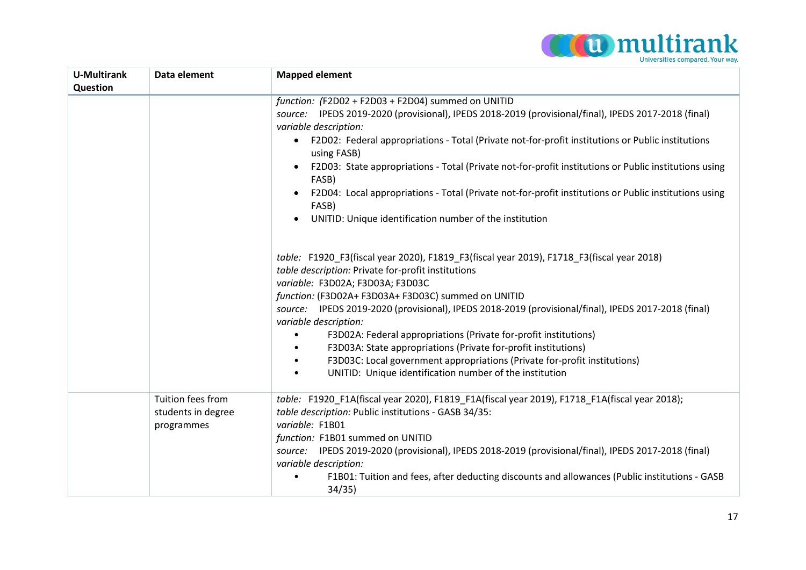

| <b>U-Multirank</b><br>Question | Data element                                          | <b>Mapped element</b>                                                                                                                                                                                                                                                                                                                                                                                                                                                                                                                                                                                                                                                                   |
|--------------------------------|-------------------------------------------------------|-----------------------------------------------------------------------------------------------------------------------------------------------------------------------------------------------------------------------------------------------------------------------------------------------------------------------------------------------------------------------------------------------------------------------------------------------------------------------------------------------------------------------------------------------------------------------------------------------------------------------------------------------------------------------------------------|
|                                |                                                       | function: (F2D02 + F2D03 + F2D04) summed on UNITID<br>source: IPEDS 2019-2020 (provisional), IPEDS 2018-2019 (provisional/final), IPEDS 2017-2018 (final)<br>variable description:<br>F2D02: Federal appropriations - Total (Private not-for-profit institutions or Public institutions<br>$\bullet$<br>using FASB)<br>F2D03: State appropriations - Total (Private not-for-profit institutions or Public institutions using<br>FASB)<br>F2D04: Local appropriations - Total (Private not-for-profit institutions or Public institutions using<br>$\bullet$<br>FASB)<br>UNITID: Unique identification number of the institution<br>$\bullet$                                            |
|                                |                                                       | table: F1920 F3(fiscal year 2020), F1819 F3(fiscal year 2019), F1718 F3(fiscal year 2018)<br>table description: Private for-profit institutions<br>variable: F3D02A; F3D03A; F3D03C<br>function: (F3D02A+ F3D03A+ F3D03C) summed on UNITID<br>source: IPEDS 2019-2020 (provisional), IPEDS 2018-2019 (provisional/final), IPEDS 2017-2018 (final)<br>variable description:<br>F3D02A: Federal appropriations (Private for-profit institutions)<br>٠<br>F3D03A: State appropriations (Private for-profit institutions)<br>F3D03C: Local government appropriations (Private for-profit institutions)<br>$\bullet$<br>UNITID: Unique identification number of the institution<br>$\bullet$ |
|                                | Tuition fees from<br>students in degree<br>programmes | table: F1920_F1A(fiscal year 2020), F1819_F1A(fiscal year 2019), F1718_F1A(fiscal year 2018);<br>table description: Public institutions - GASB 34/35:<br>variable: F1B01<br>function: F1B01 summed on UNITID<br>source: IPEDS 2019-2020 (provisional), IPEDS 2018-2019 (provisional/final), IPEDS 2017-2018 (final)<br>variable description:<br>F1B01: Tuition and fees, after deducting discounts and allowances (Public institutions - GASB<br>34/35)                                                                                                                                                                                                                                 |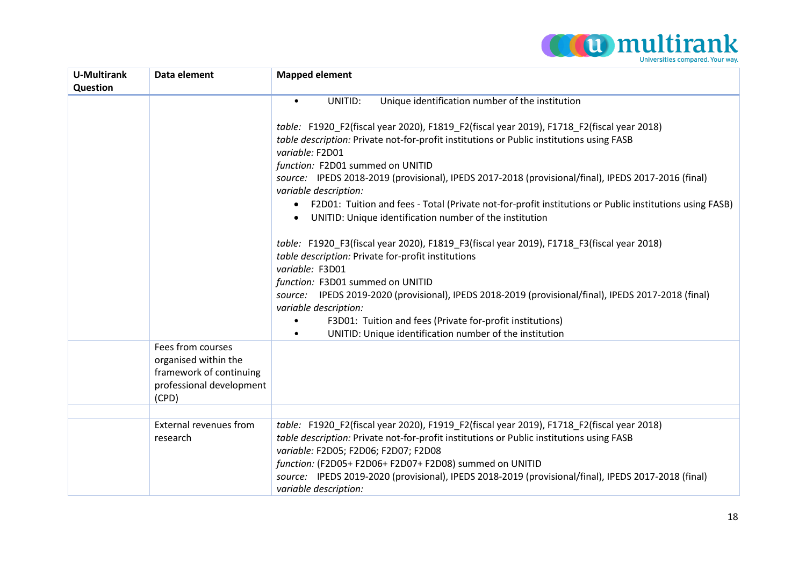

| <b>U-Multirank</b><br>Question | Data element                                                                                              | <b>Mapped element</b>                                                                                                                                                                                                                                                                                                                                                                                                                                                                                                                                           |
|--------------------------------|-----------------------------------------------------------------------------------------------------------|-----------------------------------------------------------------------------------------------------------------------------------------------------------------------------------------------------------------------------------------------------------------------------------------------------------------------------------------------------------------------------------------------------------------------------------------------------------------------------------------------------------------------------------------------------------------|
|                                |                                                                                                           | Unique identification number of the institution<br>UNITID:<br>$\bullet$                                                                                                                                                                                                                                                                                                                                                                                                                                                                                         |
|                                |                                                                                                           | table: F1920_F2(fiscal year 2020), F1819_F2(fiscal year 2019), F1718_F2(fiscal year 2018)<br>table description: Private not-for-profit institutions or Public institutions using FASB<br>variable: F2D01<br>function: F2D01 summed on UNITID<br>source: IPEDS 2018-2019 (provisional), IPEDS 2017-2018 (provisional/final), IPEDS 2017-2016 (final)<br>variable description:<br>F2D01: Tuition and fees - Total (Private not-for-profit institutions or Public institutions using FASB)<br>$\bullet$<br>UNITID: Unique identification number of the institution |
|                                |                                                                                                           | table: F1920_F3(fiscal year 2020), F1819_F3(fiscal year 2019), F1718_F3(fiscal year 2018)<br>table description: Private for-profit institutions<br>variable: F3D01<br>function: F3D01 summed on UNITID<br>source: IPEDS 2019-2020 (provisional), IPEDS 2018-2019 (provisional/final), IPEDS 2017-2018 (final)<br>variable description:<br>F3D01: Tuition and fees (Private for-profit institutions)<br>UNITID: Unique identification number of the institution<br>$\bullet$                                                                                     |
|                                | Fees from courses<br>organised within the<br>framework of continuing<br>professional development<br>(CPD) |                                                                                                                                                                                                                                                                                                                                                                                                                                                                                                                                                                 |
|                                |                                                                                                           |                                                                                                                                                                                                                                                                                                                                                                                                                                                                                                                                                                 |
|                                | <b>External revenues from</b><br>research                                                                 | table: F1920_F2(fiscal year 2020), F1919_F2(fiscal year 2019), F1718_F2(fiscal year 2018)<br>table description: Private not-for-profit institutions or Public institutions using FASB<br>variable: F2D05; F2D06; F2D07; F2D08<br>function: (F2D05+ F2D06+ F2D07+ F2D08) summed on UNITID<br>source: IPEDS 2019-2020 (provisional), IPEDS 2018-2019 (provisional/final), IPEDS 2017-2018 (final)<br>variable description:                                                                                                                                        |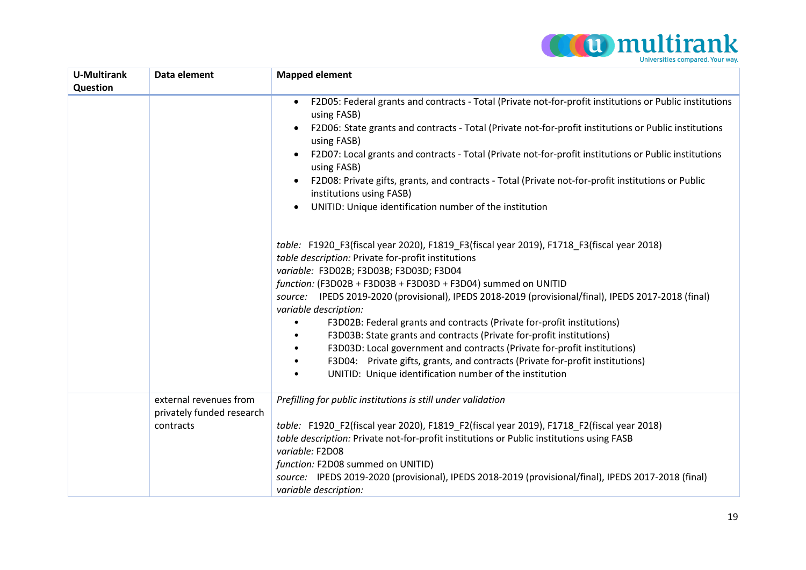

| <b>U-Multirank</b><br>Question | Data element                                                     | <b>Mapped element</b>                                                                                                                                                                                                                                                                                                                                                                                                                                                                                                                                                                                                                                                                                                                                                                           |
|--------------------------------|------------------------------------------------------------------|-------------------------------------------------------------------------------------------------------------------------------------------------------------------------------------------------------------------------------------------------------------------------------------------------------------------------------------------------------------------------------------------------------------------------------------------------------------------------------------------------------------------------------------------------------------------------------------------------------------------------------------------------------------------------------------------------------------------------------------------------------------------------------------------------|
|                                |                                                                  | F2D05: Federal grants and contracts - Total (Private not-for-profit institutions or Public institutions<br>$\bullet$<br>using FASB)<br>F2D06: State grants and contracts - Total (Private not-for-profit institutions or Public institutions<br>$\bullet$<br>using FASB)<br>F2D07: Local grants and contracts - Total (Private not-for-profit institutions or Public institutions<br>using FASB)<br>F2D08: Private gifts, grants, and contracts - Total (Private not-for-profit institutions or Public<br>$\bullet$<br>institutions using FASB)<br>UNITID: Unique identification number of the institution                                                                                                                                                                                      |
|                                |                                                                  | table: F1920_F3(fiscal year 2020), F1819_F3(fiscal year 2019), F1718_F3(fiscal year 2018)<br>table description: Private for-profit institutions<br>variable: F3D02B; F3D03B; F3D03D; F3D04<br>function: (F3D02B + F3D03B + F3D03D + F3D04) summed on UNITID<br>source: IPEDS 2019-2020 (provisional), IPEDS 2018-2019 (provisional/final), IPEDS 2017-2018 (final)<br>variable description:<br>F3D02B: Federal grants and contracts (Private for-profit institutions)<br>F3D03B: State grants and contracts (Private for-profit institutions)<br>F3D03D: Local government and contracts (Private for-profit institutions)<br>F3D04: Private gifts, grants, and contracts (Private for-profit institutions)<br>$\bullet$<br>UNITID: Unique identification number of the institution<br>$\bullet$ |
|                                | external revenues from<br>privately funded research<br>contracts | Prefilling for public institutions is still under validation<br>table: F1920 F2(fiscal year 2020), F1819 F2(fiscal year 2019), F1718 F2(fiscal year 2018)<br>table description: Private not-for-profit institutions or Public institutions using FASB<br>variable: F2D08<br>function: F2D08 summed on UNITID)<br>source: IPEDS 2019-2020 (provisional), IPEDS 2018-2019 (provisional/final), IPEDS 2017-2018 (final)<br>variable description:                                                                                                                                                                                                                                                                                                                                                   |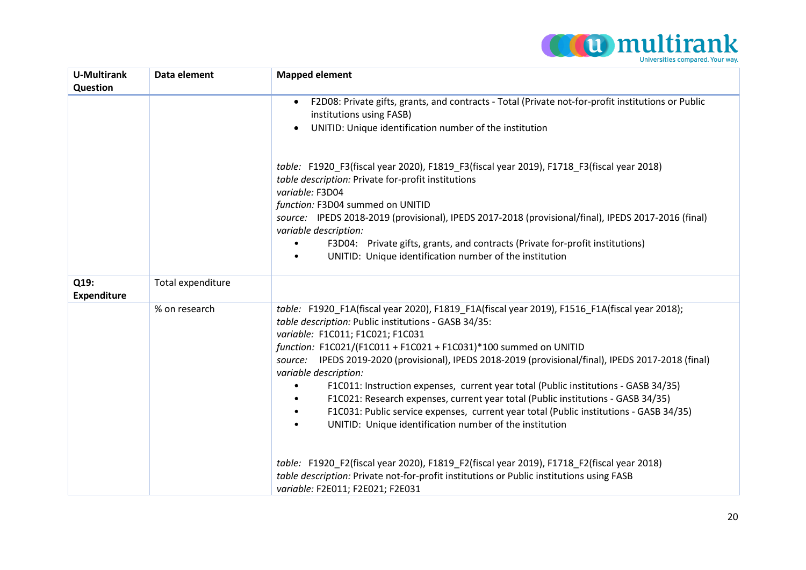

| <b>U-Multirank</b>         | Data element      | <b>Mapped element</b>                                                                                                                                                                                                                                                                                                                                                                                                                                                                                                                                                                                                                                                                                                                                                                                                                                                                                                                                                                             |
|----------------------------|-------------------|---------------------------------------------------------------------------------------------------------------------------------------------------------------------------------------------------------------------------------------------------------------------------------------------------------------------------------------------------------------------------------------------------------------------------------------------------------------------------------------------------------------------------------------------------------------------------------------------------------------------------------------------------------------------------------------------------------------------------------------------------------------------------------------------------------------------------------------------------------------------------------------------------------------------------------------------------------------------------------------------------|
| Question                   |                   |                                                                                                                                                                                                                                                                                                                                                                                                                                                                                                                                                                                                                                                                                                                                                                                                                                                                                                                                                                                                   |
|                            |                   | F2D08: Private gifts, grants, and contracts - Total (Private not-for-profit institutions or Public<br>institutions using FASB)<br>UNITID: Unique identification number of the institution<br>$\bullet$                                                                                                                                                                                                                                                                                                                                                                                                                                                                                                                                                                                                                                                                                                                                                                                            |
|                            |                   | table: F1920_F3(fiscal year 2020), F1819_F3(fiscal year 2019), F1718_F3(fiscal year 2018)<br>table description: Private for-profit institutions<br>variable: F3D04<br>function: F3D04 summed on UNITID                                                                                                                                                                                                                                                                                                                                                                                                                                                                                                                                                                                                                                                                                                                                                                                            |
|                            |                   | source: IPEDS 2018-2019 (provisional), IPEDS 2017-2018 (provisional/final), IPEDS 2017-2016 (final)<br>variable description:                                                                                                                                                                                                                                                                                                                                                                                                                                                                                                                                                                                                                                                                                                                                                                                                                                                                      |
|                            |                   | F3D04: Private gifts, grants, and contracts (Private for-profit institutions)<br>$\bullet$<br>UNITID: Unique identification number of the institution<br>$\bullet$                                                                                                                                                                                                                                                                                                                                                                                                                                                                                                                                                                                                                                                                                                                                                                                                                                |
| Q19:<br><b>Expenditure</b> | Total expenditure |                                                                                                                                                                                                                                                                                                                                                                                                                                                                                                                                                                                                                                                                                                                                                                                                                                                                                                                                                                                                   |
|                            | % on research     | table: F1920 F1A(fiscal year 2020), F1819_F1A(fiscal year 2019), F1516_F1A(fiscal year 2018);<br>table description: Public institutions - GASB 34/35:<br>variable: F1C011; F1C021; F1C031<br>function: F1C021/(F1C011 + F1C021 + F1C031)*100 summed on UNITID<br>source: IPEDS 2019-2020 (provisional), IPEDS 2018-2019 (provisional/final), IPEDS 2017-2018 (final)<br>variable description:<br>F1C011: Instruction expenses, current year total (Public institutions - GASB 34/35)<br>$\bullet$<br>F1C021: Research expenses, current year total (Public institutions - GASB 34/35)<br>F1C031: Public service expenses, current year total (Public institutions - GASB 34/35)<br>$\bullet$<br>UNITID: Unique identification number of the institution<br>$\bullet$<br>table: F1920 F2(fiscal year 2020), F1819 F2(fiscal year 2019), F1718 F2(fiscal year 2018)<br>table description: Private not-for-profit institutions or Public institutions using FASB<br>variable: F2E011; F2E021; F2E031 |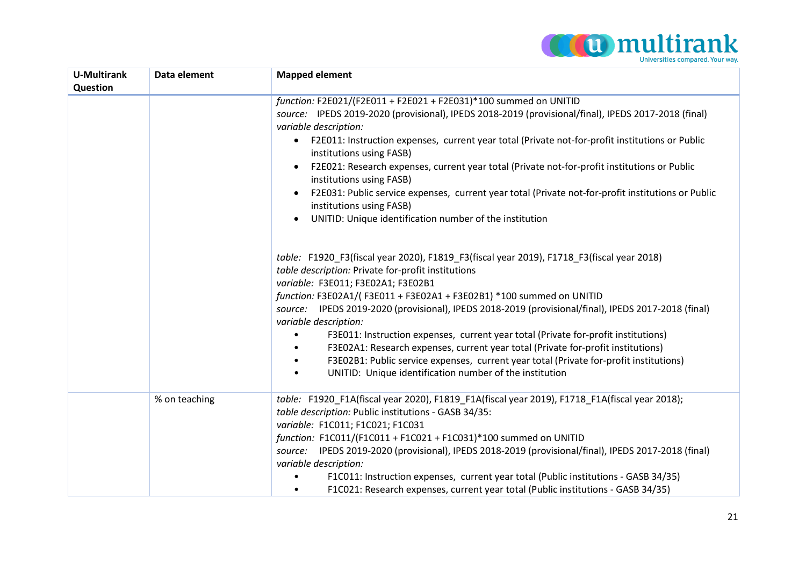

| <b>U-Multirank</b> | Data element  | <b>Mapped element</b>                                                                                                                                                                                                                                                                                                                                                                                                                                                                                                                                                                                                                                                                                                                     |
|--------------------|---------------|-------------------------------------------------------------------------------------------------------------------------------------------------------------------------------------------------------------------------------------------------------------------------------------------------------------------------------------------------------------------------------------------------------------------------------------------------------------------------------------------------------------------------------------------------------------------------------------------------------------------------------------------------------------------------------------------------------------------------------------------|
| Question           |               | function: F2E021/(F2E011 + F2E021 + F2E031)*100 summed on UNITID<br>source: IPEDS 2019-2020 (provisional), IPEDS 2018-2019 (provisional/final), IPEDS 2017-2018 (final)<br>variable description:<br>F2E011: Instruction expenses, current year total (Private not-for-profit institutions or Public<br>$\bullet$<br>institutions using FASB)<br>F2E021: Research expenses, current year total (Private not-for-profit institutions or Public<br>institutions using FASB)<br>F2E031: Public service expenses, current year total (Private not-for-profit institutions or Public<br>$\bullet$<br>institutions using FASB)<br>UNITID: Unique identification number of the institution<br>$\bullet$                                           |
|                    |               | table: F1920_F3(fiscal year 2020), F1819_F3(fiscal year 2019), F1718_F3(fiscal year 2018)<br>table description: Private for-profit institutions<br>variable: F3E011; F3E02A1; F3E02B1<br>function: F3E02A1/(F3E011 + F3E02A1 + F3E02B1) *100 summed on UNITID<br>source: IPEDS 2019-2020 (provisional), IPEDS 2018-2019 (provisional/final), IPEDS 2017-2018 (final)<br>variable description:<br>F3E011: Instruction expenses, current year total (Private for-profit institutions)<br>F3E02A1: Research expenses, current year total (Private for-profit institutions)<br>F3E02B1: Public service expenses, current year total (Private for-profit institutions)<br>UNITID: Unique identification number of the institution<br>$\bullet$ |
|                    | % on teaching | table: F1920_F1A(fiscal year 2020), F1819_F1A(fiscal year 2019), F1718_F1A(fiscal year 2018);<br>table description: Public institutions - GASB 34/35:<br>variable: F1C011; F1C021; F1C031<br>function: F1C011/(F1C011 + F1C021 + F1C031)*100 summed on UNITID<br>source: IPEDS 2019-2020 (provisional), IPEDS 2018-2019 (provisional/final), IPEDS 2017-2018 (final)<br>variable description:<br>F1C011: Instruction expenses, current year total (Public institutions - GASB 34/35)<br>F1C021: Research expenses, current year total (Public institutions - GASB 34/35)<br>$\bullet$                                                                                                                                                     |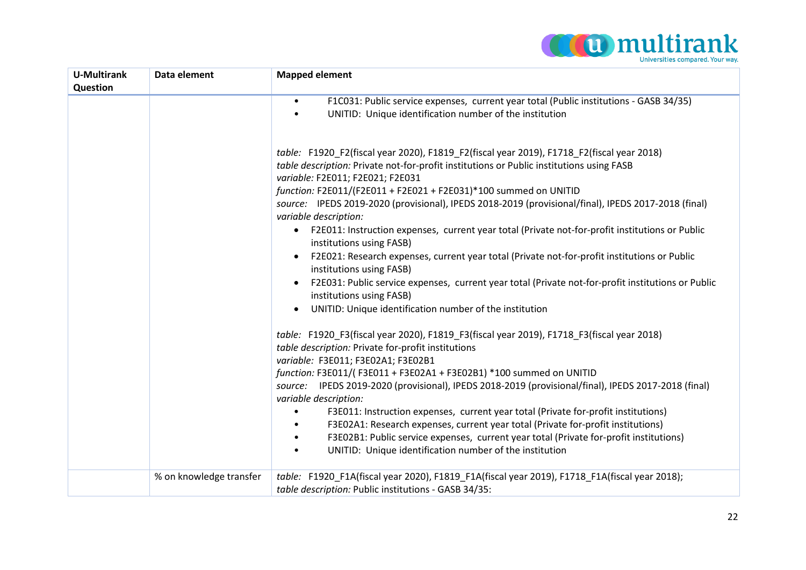

| <b>U-Multirank</b><br>Question | Data element            | <b>Mapped element</b>                                                                                                                                                                                                                                                                                                                                                                                                                                                                                                                                                                                                                                                                                                                                                                                                                                                                                                        |
|--------------------------------|-------------------------|------------------------------------------------------------------------------------------------------------------------------------------------------------------------------------------------------------------------------------------------------------------------------------------------------------------------------------------------------------------------------------------------------------------------------------------------------------------------------------------------------------------------------------------------------------------------------------------------------------------------------------------------------------------------------------------------------------------------------------------------------------------------------------------------------------------------------------------------------------------------------------------------------------------------------|
|                                |                         | F1C031: Public service expenses, current year total (Public institutions - GASB 34/35)<br>$\bullet$<br>UNITID: Unique identification number of the institution<br>$\bullet$                                                                                                                                                                                                                                                                                                                                                                                                                                                                                                                                                                                                                                                                                                                                                  |
|                                |                         | table: F1920 F2(fiscal year 2020), F1819 F2(fiscal year 2019), F1718 F2(fiscal year 2018)<br>table description: Private not-for-profit institutions or Public institutions using FASB<br>variable: F2E011; F2E021; F2E031<br>function: F2E011/(F2E011 + F2E021 + F2E031)*100 summed on UNITID<br>source: IPEDS 2019-2020 (provisional), IPEDS 2018-2019 (provisional/final), IPEDS 2017-2018 (final)<br>variable description:<br>F2E011: Instruction expenses, current year total (Private not-for-profit institutions or Public<br>$\bullet$<br>institutions using FASB)<br>F2E021: Research expenses, current year total (Private not-for-profit institutions or Public<br>institutions using FASB)<br>F2E031: Public service expenses, current year total (Private not-for-profit institutions or Public<br>$\bullet$<br>institutions using FASB)<br>UNITID: Unique identification number of the institution<br>$\bullet$ |
|                                |                         | table: F1920 F3(fiscal year 2020), F1819 F3(fiscal year 2019), F1718 F3(fiscal year 2018)<br>table description: Private for-profit institutions<br>variable: F3E011; F3E02A1; F3E02B1<br>function: F3E011/(F3E011 + F3E02A1 + F3E02B1) *100 summed on UNITID<br>source: IPEDS 2019-2020 (provisional), IPEDS 2018-2019 (provisional/final), IPEDS 2017-2018 (final)<br>variable description:<br>F3E011: Instruction expenses, current year total (Private for-profit institutions)<br>$\bullet$<br>F3E02A1: Research expenses, current year total (Private for-profit institutions)<br>٠<br>F3E02B1: Public service expenses, current year total (Private for-profit institutions)<br>$\bullet$<br>UNITID: Unique identification number of the institution<br>$\bullet$                                                                                                                                                      |
|                                | % on knowledge transfer | table: F1920 F1A(fiscal year 2020), F1819_F1A(fiscal year 2019), F1718_F1A(fiscal year 2018);<br>table description: Public institutions - GASB 34/35:                                                                                                                                                                                                                                                                                                                                                                                                                                                                                                                                                                                                                                                                                                                                                                        |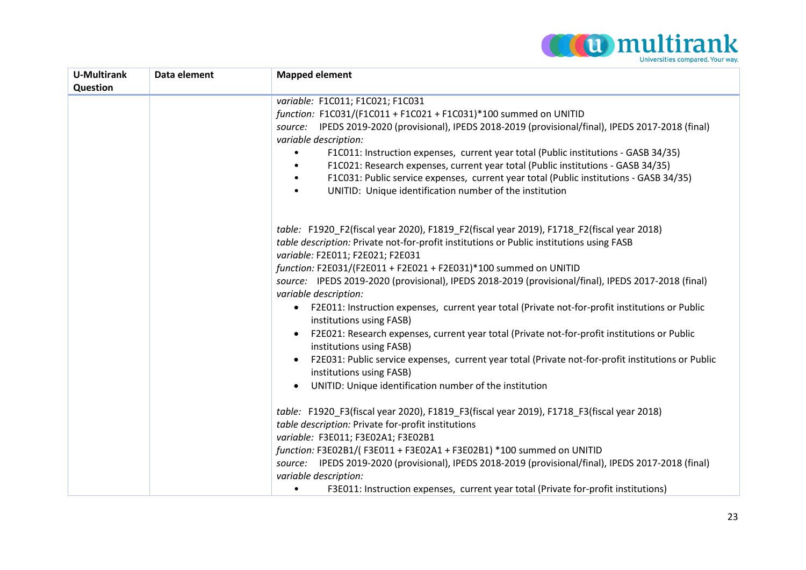

| <b>U-Multirank</b> | Data element | <b>Mapped element</b>                                                                                                                 |
|--------------------|--------------|---------------------------------------------------------------------------------------------------------------------------------------|
| Question           |              |                                                                                                                                       |
|                    |              | variable: F1C011; F1C021; F1C031                                                                                                      |
|                    |              | function: F1C031/(F1C011 + F1C021 + F1C031)*100 summed on UNITID                                                                      |
|                    |              | source: IPEDS 2019-2020 (provisional), IPEDS 2018-2019 (provisional/final), IPEDS 2017-2018 (final)<br>variable description:          |
|                    |              | F1C011: Instruction expenses, current year total (Public institutions - GASB 34/35)                                                   |
|                    |              | F1C021: Research expenses, current year total (Public institutions - GASB 34/35)                                                      |
|                    |              | F1C031: Public service expenses, current year total (Public institutions - GASB 34/35)<br>$\bullet$                                   |
|                    |              | UNITID: Unique identification number of the institution<br>$\bullet$                                                                  |
|                    |              |                                                                                                                                       |
|                    |              | table: F1920 F2(fiscal year 2020), F1819 F2(fiscal year 2019), F1718 F2(fiscal year 2018)                                             |
|                    |              | table description: Private not-for-profit institutions or Public institutions using FASB                                              |
|                    |              | variable: F2E011; F2E021; F2E031                                                                                                      |
|                    |              | function: F2E031/(F2E011 + F2E021 + F2E031)*100 summed on UNITID                                                                      |
|                    |              | source: IPEDS 2019-2020 (provisional), IPEDS 2018-2019 (provisional/final), IPEDS 2017-2018 (final)<br>variable description:          |
|                    |              | F2E011: Instruction expenses, current year total (Private not-for-profit institutions or Public<br>$\bullet$                          |
|                    |              | institutions using FASB)                                                                                                              |
|                    |              | F2E021: Research expenses, current year total (Private not-for-profit institutions or Public<br>$\bullet$<br>institutions using FASB) |
|                    |              | F2E031: Public service expenses, current year total (Private not-for-profit institutions or Public                                    |
|                    |              | institutions using FASB)                                                                                                              |
|                    |              | UNITID: Unique identification number of the institution<br>$\bullet$                                                                  |
|                    |              | table: F1920_F3(fiscal year 2020), F1819_F3(fiscal year 2019), F1718_F3(fiscal year 2018)                                             |
|                    |              | table description: Private for-profit institutions                                                                                    |
|                    |              | variable: F3E011; F3E02A1; F3E02B1                                                                                                    |
|                    |              | function: F3E02B1/(F3E011 + F3E02A1 + F3E02B1) *100 summed on UNITID                                                                  |
|                    |              | source: IPEDS 2019-2020 (provisional), IPEDS 2018-2019 (provisional/final), IPEDS 2017-2018 (final)                                   |
|                    |              | variable description:                                                                                                                 |
|                    |              | F3E011: Instruction expenses, current year total (Private for-profit institutions)<br>$\bullet$                                       |